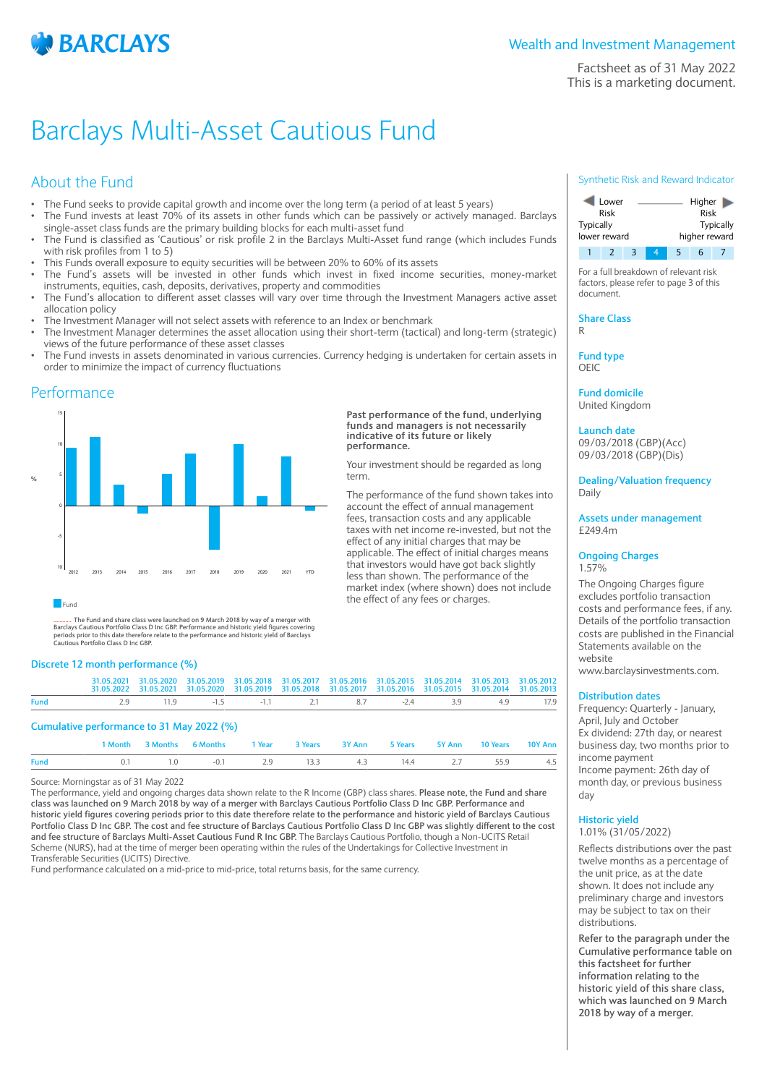

Factsheet as of 31 May 2022 This is a marketing document.

# Barclays Multi-Asset Cautious Fund

# About the Fund

- The Fund seeks to provide capital growth and income over the long term (a period of at least 5 years)
- The Fund invests at least 70% of its assets in other funds which can be passively or actively managed. Barclays single-asset class funds are the primary building blocks for each multi-asset fund
- The Fund is classified as 'Cautious' or risk profile 2 in the Barclays Multi-Asset fund range (which includes Funds with risk profiles from 1 to 5)
- This Funds overall exposure to equity securities will be between 20% to 60% of its assets
- The Fund's assets will be invested in other funds which invest in fixed income securities, money-market instruments, equities, cash, deposits, derivatives, property and commodities
- The Fund's allocation to different asset classes will vary over time through the Investment Managers active asset allocation policy
- The Investment Manager will not select assets with reference to an Index or benchmark
- The Investment Manager determines the asset allocation using their short-term (tactical) and long-term (strategic) views of the future performance of these asset classes
- The Fund invests in assets denominated in various currencies. Currency hedging is undertaken for certain assets in order to minimize the impact of currency fluctuations

**Past performance of the fund, underlying funds and managers is not necessarily indicative of its future or likely**

Your investment should be regarded as long

The performance of the fund shown takes into account the effect of annual management fees, transaction costs and any applicable taxes with net income re-invested, but not the effect of any initial charges that may be applicable. The effect of initial charges means that investors would have got back slightly less than shown. The performance of the market index (where shown) does not include

the effect of any fees or charges.

**performance.**

term.

## Performance



............. The Fund and share class were launched on 9 March 2018 by way of a merger with<br>Barclays Cautious Portfolio Class D Inc GBP. Performance and historic yield figures covering<br>periods prior to this date therefore

## **Discrete 12 month performance (%)**

|             |                                              | 31.05.2021 31.05.2020 31.05.2019 31.05.2018 31.05.2017 31.05.2016 31.05.2015 31.05.2014 31.05.2013 31.05.2012<br>31.05.2022 31.05.2021 31.05.2020 31.05.2019 31.05.2018 31.05.2017 31.05.2016 31.05.2015 31.05.2014 31.05.2013 |  |  |  |  |
|-------------|----------------------------------------------|--------------------------------------------------------------------------------------------------------------------------------------------------------------------------------------------------------------------------------|--|--|--|--|
| <b>Fund</b> | 2.9 11.9 -1.5 -1.1 2.1 8.7 -2.4 3.9 4.9 17.9 |                                                                                                                                                                                                                                |  |  |  |  |
|             |                                              |                                                                                                                                                                                                                                |  |  |  |  |

## **Cumulative performance to 31 May 2022 (%)**

|      |  | 1 Month 3 Months 6 Months 1 Year 3 Years 3 Y Ann 5 Years 5 Y Ann 10 Years 10 Y Ann |  |  |  |  |
|------|--|------------------------------------------------------------------------------------|--|--|--|--|
| Fund |  | 0.1 1.0 -0.1 2.9 13.3 4.3 14.4 2.7 55.9 4.5                                        |  |  |  |  |

Source: Morningstar as of 31 May 2022

The performance, yield and ongoing charges data shown relate to the R Income (GBP) class shares. **Please note, the Fund and share class was launched on 9 March 2018 by way of a merger with Barclays Cautious Portfolio Class D Inc GBP. Performance and historic yield figures covering periods prior to this date therefore relate to the performance and historic yield of Barclays Cautious Portfolio Class D Inc GBP. The cost and fee structure of Barclays Cautious Portfolio Class D Inc GBP was slightly different to the cost and fee structure of Barclays Multi-Asset Cautious Fund R Inc GBP.** The Barclays Cautious Portfolio, though a Non-UCITS Retail Scheme (NURS), had at the time of merger been operating within the rules of the Undertakings for Collective Investment in Transferable Securities (UCITS) Directive.

Fund performance calculated on a mid-price to mid-price, total returns basis, for the same currency.

## Synthetic Risk and Reward Indicator



For a full breakdown of relevant risk factors, please refer to page 3 of this document.

**Share Class** R

**Fund type**

OEIC

**Fund domicile** United Kingdom

**Launch date** 09/03/2018 (GBP)(Acc)

09/03/2018 (GBP)(Dis)

**Dealing/Valuation frequency** Daily

**Assets under management** £249.4m

## **Ongoing Charges** 1.57%

The Ongoing Charges figure excludes portfolio transaction costs and performance fees, if any. Details of the portfolio transaction costs are published in the Financial Statements available on the website

www.barclaysinvestments.com.

## **Distribution dates**

Frequency: Quarterly - January, April, July and October Ex dividend: 27th day, or nearest business day, two months prior to income payment Income payment: 26th day of month day, or previous business day

#### **Historic yield** 1.01% (31/05/2022)

Reflects distributions over the past twelve months as a percentage of the unit price, as at the date shown. It does not include any preliminary charge and investors may be subject to tax on their distributions.

**Refer to the paragraph under the Cumulative performance table on this factsheet for further information relating to the historic yield of this share class, which was launched on 9 March 2018 by way of a merger.**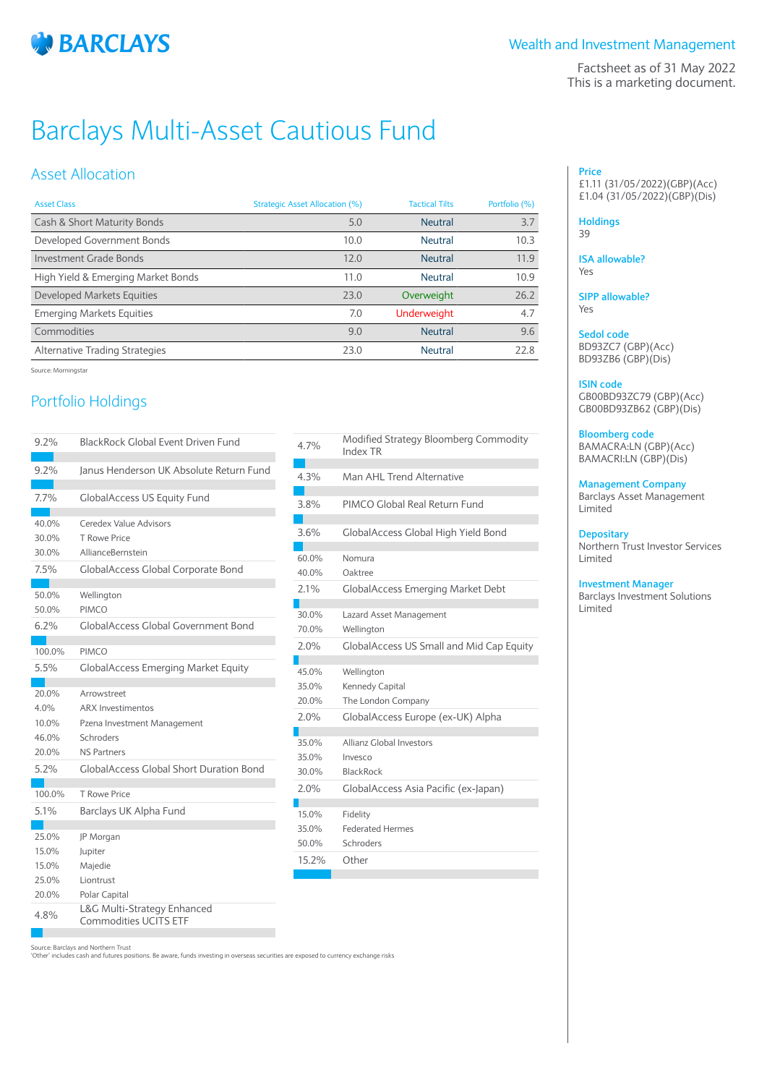

Factsheet as of 31 May 2022 This is a marketing document.

# Barclays Multi-Asset Cautious Fund

## Asset Allocation

| <b>Asset Class</b>                 | Strategic Asset Allocation (%) | <b>Tactical Tilts</b> | Portfolio (%) |
|------------------------------------|--------------------------------|-----------------------|---------------|
| Cash & Short Maturity Bonds        | 5.0                            | <b>Neutral</b>        | 3.7           |
| Developed Government Bonds         | 10.0                           | <b>Neutral</b>        | 10.3          |
| Investment Grade Bonds             | 12.0                           | <b>Neutral</b>        | 11.9          |
| High Yield & Emerging Market Bonds | 11.0                           | <b>Neutral</b>        | 10.9          |
| Developed Markets Equities         | 23.0                           | Overweight            | 26.2          |
| <b>Emerging Markets Equities</b>   | 7.0                            | <b>Underweight</b>    | 4.7           |
| Commodities                        | 9.0                            | <b>Neutral</b>        | 9.6           |
| Alternative Trading Strategies     | 23.0                           | <b>Neutral</b>        | 22.8          |
|                                    |                                |                       |               |

Source: Morningstar

# Portfolio Holdings

| 9.2%                                             | <b>BlackRock Global Event Driven Fund</b>                                                                                                                   | 4.7 <sup>0</sup>                               |
|--------------------------------------------------|-------------------------------------------------------------------------------------------------------------------------------------------------------------|------------------------------------------------|
| 9.2%                                             | Janus Henderson UK Absolute Return Fund                                                                                                                     | 4.3 <sup>°</sup>                               |
| 7.7%                                             | <b>GlobalAccess US Equity Fund</b>                                                                                                                          | $3.8^{\circ}$                                  |
| 40.0%<br>30.0%<br>30.0%<br>7.5%                  | Ceredex Value Advisors<br>T Rowe Price<br>AllianceBernstein<br><b>GlobalAccess Global Corporate Bond</b>                                                    | $3.6^\circ$<br>60.0<br>40 <sub>c</sub>         |
| 50.0%<br>50.0%<br>6.2%                           | Wellington<br>PIMCO<br><b>GlobalAccess Global Government Bond</b>                                                                                           | 2.1 <sup>c</sup><br>30.0                       |
| 100.0%<br>5.5%                                   | PIMCO<br><b>GlobalAccess Emerging Market Equity</b>                                                                                                         | 70.C<br>$2.0^\circ$<br>45.0                    |
| 20.0%<br>4.0%<br>10.0%<br>46.0%<br>20.0%<br>5.2% | Arrowstreet<br><b>ARX Investimentos</b><br>Pzena Investment Management<br>Schroders<br><b>NS Partners</b><br><b>GlobalAccess Global Short Duration Bond</b> | 35.0<br>20.0<br>$2.0^{\circ}$<br>35.0<br>35.0  |
| 100.0%<br>5.1%                                   | <b>T Rowe Price</b><br>Barclays UK Alpha Fund                                                                                                               | 30 <sub>c</sub><br>$2.0^\circ$<br>15.0<br>35.0 |
| 25.0%<br>15.0%<br>15.0%<br>25.0%<br>20.0%        | JP Morgan<br>Jupiter<br>Majedie<br>Liontrust<br>Polar Capital                                                                                               | 50 <sub>c</sub><br>15.2                        |
| 4.8%                                             | L&G Multi-Strategy Enhanced<br>Commodities UCITS ETF                                                                                                        |                                                |

| 4.7%           | Modified Strategy Bloomberg Commodity<br>Index TR |
|----------------|---------------------------------------------------|
| 4.3%           | Man AHI Trend Alternative                         |
| 3.8%           | PIMCO Global Real Return Fund                     |
| 3.6%           | GlobalAccess Global High Yield Bond               |
| 60.0%<br>40.0% | Nomura<br>Oaktree                                 |
| 7.1%           | <b>GlobalAccess Emerging Market Debt</b>          |
|                |                                                   |
| 30.0%          | Lazard Asset Management                           |
| 70.0%          | Wellington                                        |
| 2.0%           | <b>GlobalAccess US Small and Mid Cap Equity</b>   |
|                |                                                   |
| 45.0%          | Wellington                                        |
| 35.0%          | Kennedy Capital                                   |
| 20.0%          | The London Company                                |
| 2.0%           | GlobalAccess Europe (ex-UK) Alpha                 |
| 35.0%          | Allianz Global Investors                          |
| 35.0%          | Invesco                                           |
| 30.0%          | <b>BlackRock</b>                                  |
| 2.0%           | GlobalAccess Asia Pacific (ex-Japan)              |
|                |                                                   |
| 15.0%          | Fidelity                                          |
| 35.0%          | <b>Federated Hermes</b>                           |
| 50.0%          | Schroders                                         |
| 15.2%          | Other                                             |
|                |                                                   |

Source: Barclays and Northern Trust

'Other' includes cash and futures positions. Be aware, funds investing in overseas securities are exposed to currency exchange risks

### **Price** £1.11 (31/05/2022)(GBP)(Acc) £1.04 (31/05/2022)(GBP)(Dis)

**Holdings** 39

**ISA allowable?** Yes

**SIPP allowable?** Yes

**Sedol code** BD93ZC7 (GBP)(Acc) BD93ZB6 (GBP)(Dis)

## **ISIN code**

GB00BD93ZC79 (GBP)(Acc) GB00BD93ZB62 (GBP)(Dis)

## **Bloomberg code**

BAMACRA:LN (GBP)(Acc) BAMACRI:LN (GBP)(Dis)

**Management Company** Barclays Asset Management

Limited

## **Depositary**

Northern Trust Investor Services Limited

## **Investment Manager**

Barclays Investment Solutions Limited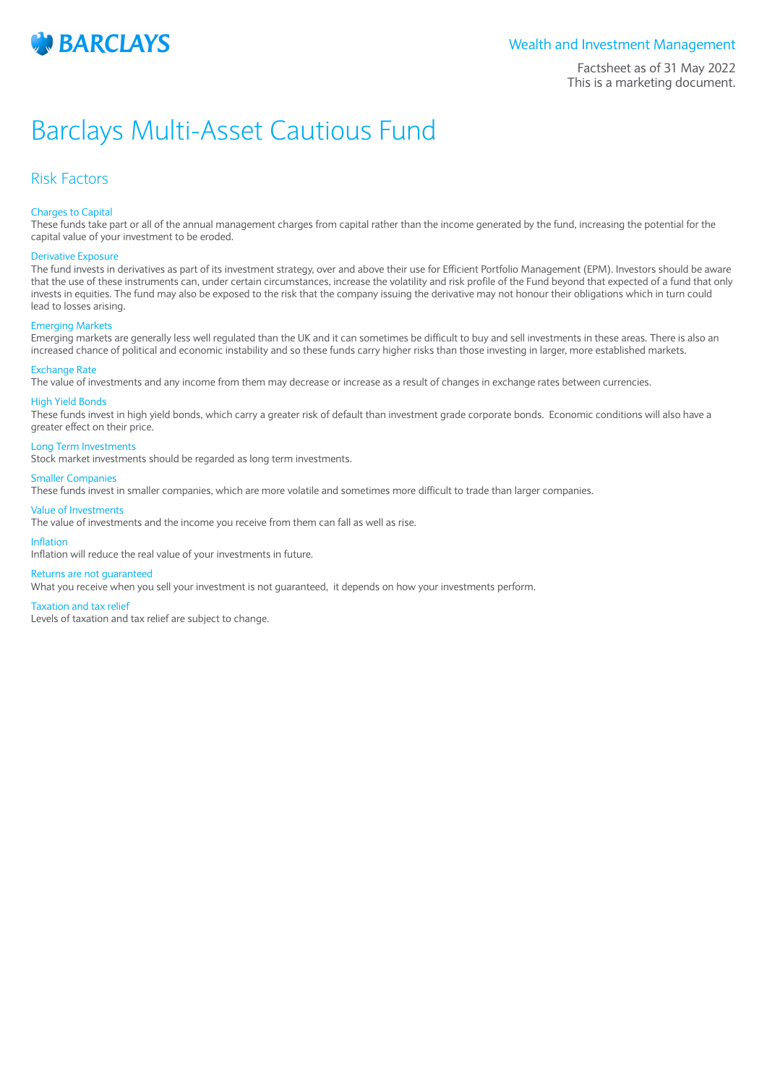

Factsheet as of 31 May 2022 This is a marketing document.

# Barclays Multi-Asset Cautious Fund

## Risk Factors

## Charges to Capital

These funds take part or all of the annual management charges from capital rather than the income generated by the fund, increasing the potential for the capital value of your investment to be eroded.

### Derivative Exposure

The fund invests in derivatives as part of its investment strategy, over and above their use for Efficient Portfolio Management (EPM). Investors should be aware that the use of these instruments can, under certain circumstances, increase the volatility and risk profile of the Fund beyond that expected of a fund that only invests in equities. The fund may also be exposed to the risk that the company issuing the derivative may not honour their obligations which in turn could lead to losses arising.

### Emerging Markets

Emerging markets are generally less well regulated than the UK and it can sometimes be difficult to buy and sell investments in these areas. There is also an increased chance of political and economic instability and so these funds carry higher risks than those investing in larger, more established markets.

#### Exchange Rate

The value of investments and any income from them may decrease or increase as a result of changes in exchange rates between currencies.

### High Yield Bonds

These funds invest in high yield bonds, which carry a greater risk of default than investment grade corporate bonds. Economic conditions will also have a greater effect on their price.

## Long Term Investments

Stock market investments should be regarded as long term investments.

#### Smaller Companies

These funds invest in smaller companies, which are more volatile and sometimes more difficult to trade than larger companies.

### Value of Investments

The value of investments and the income you receive from them can fall as well as rise.

### Inflation

Inflation will reduce the real value of your investments in future.

### Returns are not guaranteed

What you receive when you sell your investment is not guaranteed, it depends on how your investments perform.

#### Taxation and tax relief

Levels of taxation and tax relief are subject to change.